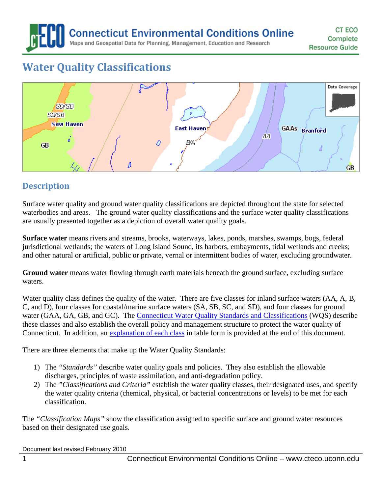**Connecticut Environmental Conditions Online** 

Maps and Geospatial Data for Planning, Management, Education and Research

# **Water Quality Classifications**



# **Description**

Surface water quality and ground water quality classifications are depicted throughout the state for selected waterbodies and areas. The ground water quality classifications and the surface water quality classifications are usually presented together as a depiction of overall water quality goals.

**Surface water** means rivers and streams, brooks, waterways, lakes, ponds, marshes, swamps, bogs, federal jurisdictional wetlands; the waters of Long Island Sound, its harbors, embayments, tidal wetlands and creeks; and other natural or artificial, public or private, vernal or intermittent bodies of water, excluding groundwater.

**Ground water** means water flowing through earth materials beneath the ground surface, excluding surface waters.

Water quality class defines the quality of the water. There are five classes for inland surface waters (AA, A, B, C, and D), four classes for coastal/marine surface waters (SA, SB, SC, and SD), and four classes for ground water (GAA, GA, GB, and GC). The [Connecticut Water Quality Standards and Classifications](http://www.ct.gov/dep/lib/dep/water/water_quality_standards/wqs.pdf) (WQS) describe these classes and also establish the overall policy and management structure to protect the water quality of Connecticut. In addition, an [explanation of each class](#page-2-0) in table form is provided at the end of this document.

There are three elements that make up the Water Quality Standards:

- 1) The *"Standards"* describe water quality goals and policies. They also establish the allowable discharges, principles of waste assimilation, and anti-degradation policy.
- 2) The *"Classifications and Criteria"* establish the water quality classes, their designated uses, and specify the water quality criteria (chemical, physical, or bacterial concentrations or levels) to be met for each classification.

The *"Classification Maps"* show the classification assigned to specific surface and ground water resources based on their designated use goals.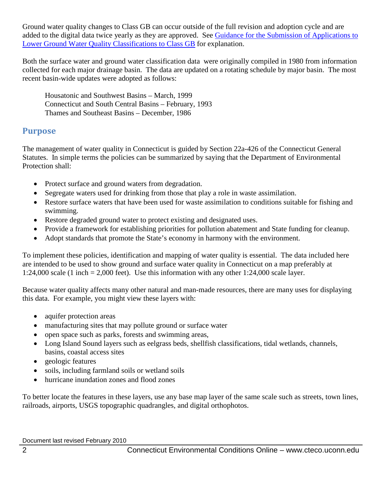Ground water quality changes to Class GB can occur outside of the full revision and adoption cycle and are added to the digital data twice yearly as they are approved. See [Guidance for the Submission of Applications to](http://www.ct.gov/dep/lib/dep/water/water_quality_standards/reclass_guidance.pdf)  [Lower Ground Water Quality Classifications to Class GB](http://www.ct.gov/dep/lib/dep/water/water_quality_standards/reclass_guidance.pdf) for explanation.

Both the surface water and ground water classification data were originally compiled in 1980 from information collected for each major drainage basin. The data are updated on a rotating schedule by major basin. The most recent basin-wide updates were adopted as follows:

Housatonic and Southwest Basins – March, 1999 Connecticut and South Central Basins – February, 1993 Thames and Southeast Basins – December, 1986

#### **Purpose**

The management of water quality in Connecticut is guided by Section 22a-426 of the Connecticut General Statutes. In simple terms the policies can be summarized by saying that the Department of Environmental Protection shall:

- Protect surface and ground waters from degradation.
- Segregate waters used for drinking from those that play a role in waste assimilation.
- Restore surface waters that have been used for waste assimilation to conditions suitable for fishing and swimming.
- Restore degraded ground water to protect existing and designated uses.
- Provide a framework for establishing priorities for pollution abatement and State funding for cleanup.
- Adopt standards that promote the State's economy in harmony with the environment.

To implement these policies, identification and mapping of water quality is essential. The data included here are intended to be used to show ground and surface water quality in Connecticut on a map preferably at 1:24,000 scale (1 inch = 2,000 feet). Use this information with any other 1:24,000 scale layer.

Because water quality affects many other natural and man-made resources, there are many uses for displaying this data. For example, you might view these layers with:

- aquifer protection areas
- manufacturing sites that may pollute ground or surface water
- open space such as parks, forests and swimming areas,
- Long Island Sound layers such as eelgrass beds, shellfish classifications, tidal wetlands, channels, basins, coastal access sites
- geologic features
- soils, including farmland soils or wetland soils
- hurricane inundation zones and flood zones

To better locate the features in these layers, use any base map layer of the same scale such as streets, town lines, railroads, airports, USGS topographic quadrangles, and digital orthophotos.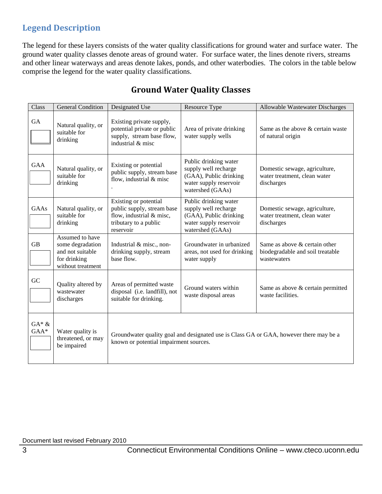# **Legend Description**

The legend for these layers consists of the water quality classifications for ground water and surface water. The ground water quality classes denote areas of ground water. For surface water, the lines denote rivers, streams and other linear waterways and areas denote lakes, ponds, and other waterbodies. The colors in the table below comprise the legend for the water quality classifications.

<span id="page-2-0"></span>

| Class              | <b>General Condition</b>                                                                     | Designated Use                                                                                                                   | Resource Type                                                                                                         | Allowable Wastewater Discharges                                                  |
|--------------------|----------------------------------------------------------------------------------------------|----------------------------------------------------------------------------------------------------------------------------------|-----------------------------------------------------------------------------------------------------------------------|----------------------------------------------------------------------------------|
| GA                 | Natural quality, or<br>suitable for<br>drinking                                              | Existing private supply,<br>potential private or public<br>supply, stream base flow,<br>industrial & misc                        | Area of private drinking<br>water supply wells                                                                        | Same as the above & certain waste<br>of natural origin                           |
| GAA                | Natural quality, or<br>suitable for<br>drinking                                              | Existing or potential<br>public supply, stream base<br>flow, industrial & misc                                                   | Public drinking water<br>supply well recharge<br>(GAA), Public drinking<br>water supply reservoir<br>watershed (GAAs) | Domestic sewage, agriculture,<br>water treatment, clean water<br>discharges      |
| GAAs               | Natural quality, or<br>suitable for<br>drinking                                              | Existing or potential<br>public supply, stream base<br>flow, industrial & misc,<br>tributary to a public<br>reservoir            | Public drinking water<br>supply well recharge<br>(GAA), Public drinking<br>water supply reservoir<br>watershed (GAAs) | Domestic sewage, agriculture,<br>water treatment, clean water<br>discharges      |
| <b>GB</b>          | Assumed to have<br>some degradation<br>and not suitable<br>for drinking<br>without treatment | Industrial & misc., non-<br>drinking supply, stream<br>base flow.                                                                | Groundwater in urbanized<br>areas, not used for drinking<br>water supply                                              | Same as above & certain other<br>biodegradable and soil treatable<br>wastewaters |
| GC                 | Quality altered by<br>wastewater<br>discharges                                               | Areas of permitted waste<br>disposal (i.e. landfill), not<br>suitable for drinking.                                              | Ground waters within<br>waste disposal areas                                                                          | Same as above & certain permitted<br>waste facilities.                           |
| $GA* \&$<br>$GAA*$ | Water quality is<br>threatened, or may<br>be impaired                                        | Groundwater quality goal and designated use is Class GA or GAA, however there may be a<br>known or potential impairment sources. |                                                                                                                       |                                                                                  |

# **Ground Water Quality Classes**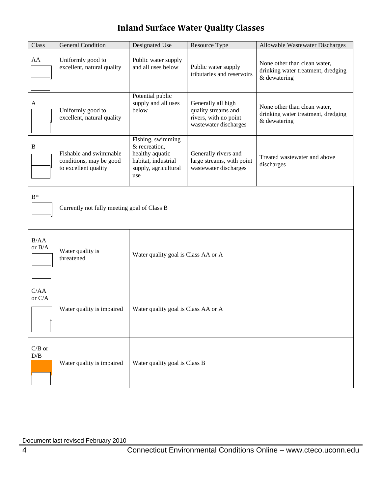# **Inland Surface Water Quality Classes**

| Class                               | <b>General Condition</b>                                                  | Designated Use                                                                                              | Resource Type                                                                               | Allowable Wastewater Discharges                                                    |  |
|-------------------------------------|---------------------------------------------------------------------------|-------------------------------------------------------------------------------------------------------------|---------------------------------------------------------------------------------------------|------------------------------------------------------------------------------------|--|
| AA                                  | Uniformly good to<br>excellent, natural quality                           | Public water supply<br>and all uses below                                                                   | Public water supply<br>tributaries and reservoirs                                           | None other than clean water,<br>drinking water treatment, dredging<br>& dewatering |  |
| A                                   | Uniformly good to<br>excellent, natural quality                           | Potential public<br>supply and all uses<br>below                                                            | Generally all high<br>quality streams and<br>rivers, with no point<br>wastewater discharges | None other than clean water,<br>drinking water treatment, dredging<br>& dewatering |  |
| $\mathbf B$                         | Fishable and swimmable<br>conditions, may be good<br>to excellent quality | Fishing, swimming<br>& recreation,<br>healthy aquatic<br>habitat, industrial<br>supply, agricultural<br>use | Generally rivers and<br>large streams, with point<br>wastewater discharges                  | Treated wastewater and above<br>discharges                                         |  |
| $B^*$                               | Currently not fully meeting goal of Class B                               |                                                                                                             |                                                                                             |                                                                                    |  |
| B/AA<br>or $B/A$                    | Water quality is<br>threatened                                            | Water quality goal is Class AA or A                                                                         |                                                                                             |                                                                                    |  |
| C/AA<br>or $C/A$                    | Water quality is impaired                                                 | Water quality goal is Class AA or A                                                                         |                                                                                             |                                                                                    |  |
| $C/B$ or<br>$\mathbf{D}/\mathbf{B}$ | Water quality is impaired                                                 | Water quality goal is Class B                                                                               |                                                                                             |                                                                                    |  |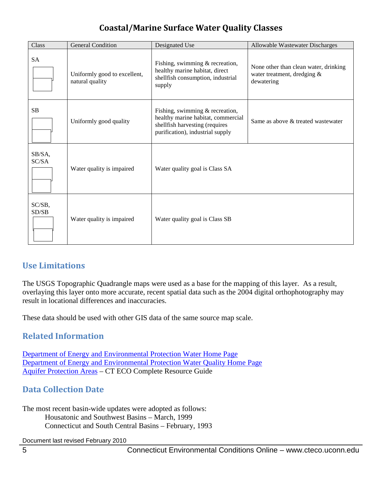# **Coastal/Marine Surface Water Quality Classes**

| Class           | <b>General Condition</b>                        | Designated Use                                                                                                                              | Allowable Wastewater Discharges                                                    |
|-----------------|-------------------------------------------------|---------------------------------------------------------------------------------------------------------------------------------------------|------------------------------------------------------------------------------------|
| <b>SA</b>       | Uniformly good to excellent,<br>natural quality | Fishing, swimming $&$ recreation,<br>healthy marine habitat, direct<br>shellfish consumption, industrial<br>supply                          | None other than clean water, drinking<br>water treatment, dredging &<br>dewatering |
| <b>SB</b>       | Uniformly good quality                          | Fishing, swimming & recreation,<br>healthy marine habitat, commercial<br>shellfish harvesting (requires<br>purification), industrial supply | Same as above & treated wastewater                                                 |
| SB/SA,<br>SC/SA | Water quality is impaired                       | Water quality goal is Class SA                                                                                                              |                                                                                    |
| SC/SB,<br>SD/SB | Water quality is impaired                       | Water quality goal is Class SB                                                                                                              |                                                                                    |

# **Use Limitations**

The USGS Topographic Quadrangle maps were used as a base for the mapping of this layer. As a result, overlaying this layer onto more accurate, recent spatial data such as the 2004 digital orthophotography may result in locational differences and inaccuracies.

These data should be used with other GIS data of the same source map scale.

#### **Related Information**

[Department of Energy and Environmental Protection Water Home Page](http://www.ct.gov/dep/cwp/view.asp?a=2719&q=325520&depNav_GID=1654) [Department of Energy and Environmental Protection Water Quality Home Page](http://www.ct.gov/dep/cwp/view.asp?a=2719&q=325522&depNav_GID=1654&depNav=|) [Aquifer Protection Areas](http://cteco.uconn.edu/guides/resource/CT_ECO_Resource_Guide_Aquifer_Protection_Area.pdf) – CT ECO Complete Resource Guide

### **Data Collection Date**

The most recent basin-wide updates were adopted as follows: Housatonic and Southwest Basins – March, 1999 Connecticut and South Central Basins – February, 1993